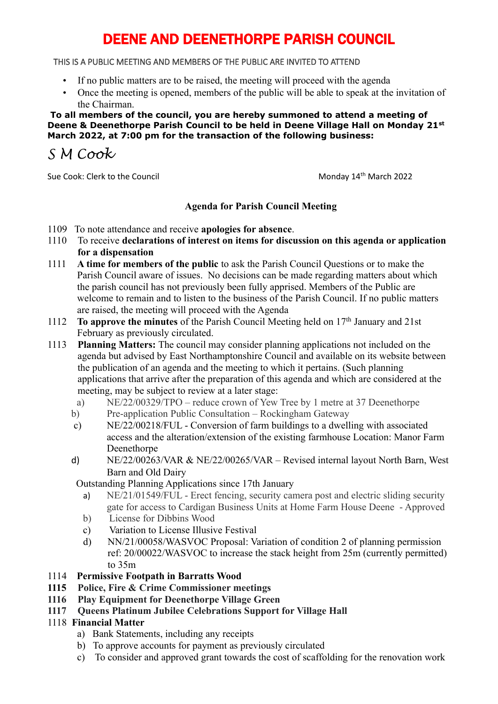# DEENE AND DEENETHORPE PARISH COUNCIL

THIS IS A PUBLIC MEETING AND MEMBERS OF THE PUBLIC ARE INVITED TO ATTEND

- If no public matters are to be raised, the meeting will proceed with the agenda
- Once the meeting is opened, members of the public will be able to speak at the invitation of the Chairman.

 **To all members of the council, you are hereby summoned to attend a meeting of Deene & Deenethorpe Parish Council to be held in Deene Village Hall on Monday 21st March 2022, at 7:00 pm for the transaction of the following business:**

*S M Cook*

Sue Cook: Clerk to the Council and Cook: Clerk to the Council Monday 14<sup>th</sup> March 2022

### **Agenda for Parish Council Meeting**

- 1109 To note attendance and receive **apologies for absence**.
- 1110 To receive **declarations of interest on items for discussion on this agenda or application for a dispensation**
- 1111 **A time for members of the public** to ask the Parish Council Questions or to make the Parish Council aware of issues. No decisions can be made regarding matters about which the parish council has not previously been fully apprised. Members of the Public are welcome to remain and to listen to the business of the Parish Council. If no public matters are raised, the meeting will proceed with the Agenda
- 1112 **To approve the minutes** of the Parish Council Meeting held on 17th January and 21st February as previously circulated.

1113 **Planning Matters:** The council may consider planning applications not included on the agenda but advised by East Northamptonshire Council and available on its website between the publication of an agenda and the meeting to which it pertains. (Such planning applications that arrive after the preparation of this agenda and which are considered at the meeting, may be subject to review at a later stage:

- a) NE/22/00329/TPO reduce crown of Yew Tree by 1 metre at 37 Deenethorpe
- b) Pre-application Public Consultation Rockingham Gateway
- c) NE/22/00218/FUL Conversion of farm buildings to a dwelling with associated access and the alteration/extension of the existing farmhouse Location: Manor Farm Deenethorpe
- d) NE/22/00263/VAR & NE/22/00265/VAR Revised internal layout North Barn, West Barn and Old Dairy

Outstanding Planning Applications since 17th January

- a) NE/21/01549/FUL Erect fencing, security camera post and electric sliding security gate for access to Cardigan Business Units at Home Farm House Deene - Approved
- b) License for Dibbins Wood
- c) Variation to License Illusive Festival
- d) NN/21/00058/WASVOC Proposal: Variation of condition 2 of planning permission ref: 20/00022/WASVOC to increase the stack height from 25m (currently permitted) to 35m
- 1114 **Permissive Footpath in Barratts Wood**
- **1115 Police, Fire & Crime Commissioner meetings**
- **1116 Play Equipment for Deenethorpe Village Green**
- **1117 Queens Platinum Jubilee Celebrations Support for Village Hall**

### 1118 **Financial Matter**

- a) Bank Statements, including any receipts
- b) To approve accounts for payment as previously circulated
- c) To consider and approved grant towards the cost of scaffolding for the renovation work